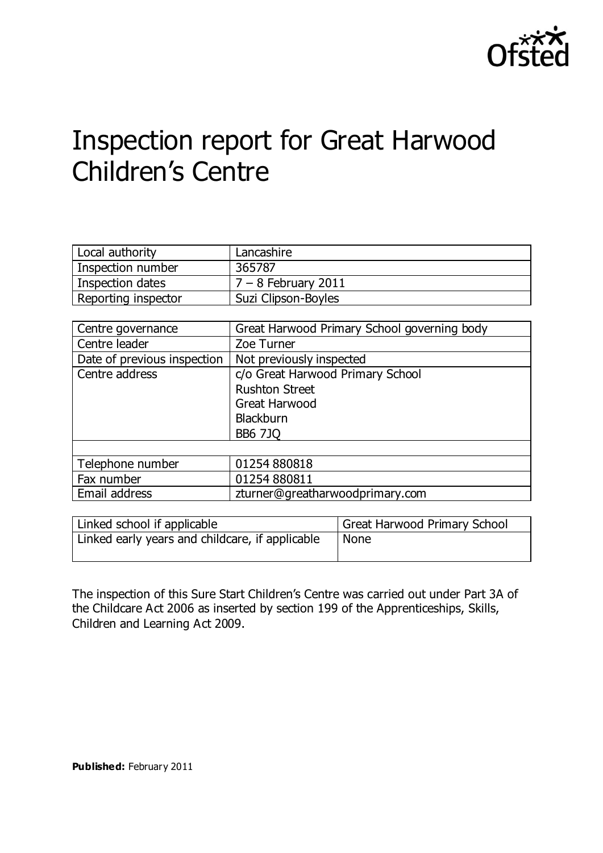

# Inspection report for Great Harwood Children's Centre

| Local authority     | Lancashire            |
|---------------------|-----------------------|
| Inspection number   | 365787                |
| Inspection dates    | $7 - 8$ February 2011 |
| Reporting inspector | Suzi Clipson-Boyles   |

| Centre governance           | Great Harwood Primary School governing body |
|-----------------------------|---------------------------------------------|
| Centre leader               | Zoe Turner                                  |
| Date of previous inspection | Not previously inspected                    |
| Centre address              | c/o Great Harwood Primary School            |
|                             | <b>Rushton Street</b>                       |
|                             | Great Harwood                               |
|                             | <b>Blackburn</b>                            |
|                             | <b>BB6 7JQ</b>                              |
|                             |                                             |
| Telephone number            | 01254880818                                 |
| Fax number                  | 01254880811                                 |
| Email address               | zturner@greatharwoodprimary.com             |

| Linked school if applicable                     | Great Harwood Primary School |
|-------------------------------------------------|------------------------------|
| Linked early years and childcare, if applicable | <b>None</b>                  |

The inspection of this Sure Start Children's Centre was carried out under Part 3A of the Childcare Act 2006 as inserted by section 199 of the Apprenticeships, Skills, Children and Learning Act 2009.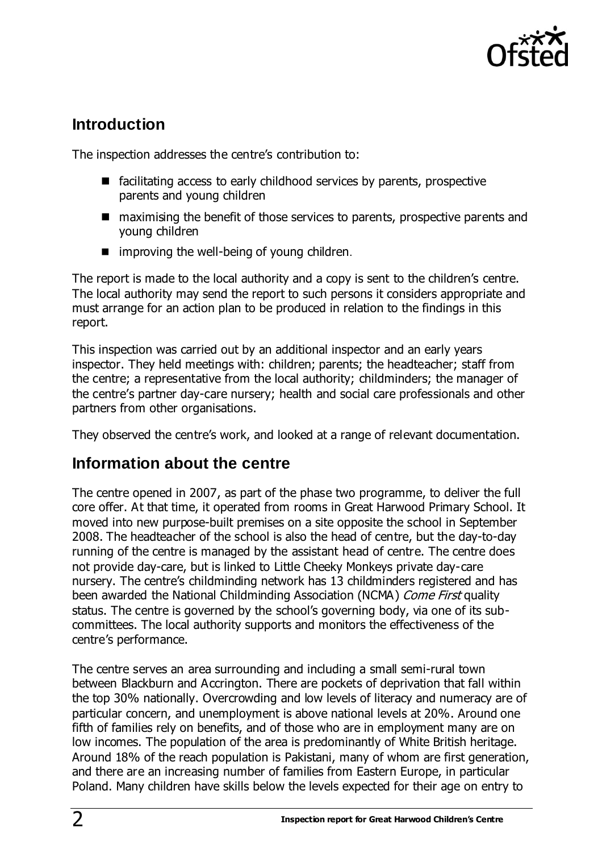

## **Introduction**

The inspection addresses the centre's contribution to:

- $\blacksquare$  facilitating access to early childhood services by parents, prospective parents and young children
- maximising the benefit of those services to parents, prospective parents and young children
- $\blacksquare$  improving the well-being of young children.

The report is made to the local authority and a copy is sent to the children's centre. The local authority may send the report to such persons it considers appropriate and must arrange for an action plan to be produced in relation to the findings in this report.

This inspection was carried out by an additional inspector and an early years inspector. They held meetings with: children; parents; the headteacher; staff from the centre; a representative from the local authority; childminders; the manager of the centre's partner day-care nursery; health and social care professionals and other partners from other organisations.

They observed the centre's work, and looked at a range of relevant documentation.

## **Information about the centre**

The centre opened in 2007, as part of the phase two programme, to deliver the full core offer. At that time, it operated from rooms in Great Harwood Primary School. It moved into new purpose-built premises on a site opposite the school in September 2008. The headteacher of the school is also the head of centre, but the day-to-day running of the centre is managed by the assistant head of centre. The centre does not provide day-care, but is linked to Little Cheeky Monkeys private day-care nursery. The centre's childminding network has 13 childminders registered and has been awarded the National Childminding Association (NCMA) Come First quality status. The centre is governed by the school's governing body, via one of its subcommittees. The local authority supports and monitors the effectiveness of the centre's performance.

The centre serves an area surrounding and including a small semi-rural town between Blackburn and Accrington. There are pockets of deprivation that fall within the top 30% nationally. Overcrowding and low levels of literacy and numeracy are of particular concern, and unemployment is above national levels at 20%. Around one fifth of families rely on benefits, and of those who are in employment many are on low incomes. The population of the area is predominantly of White British heritage. Around 18% of the reach population is Pakistani, many of whom are first generation, and there are an increasing number of families from Eastern Europe, in particular Poland. Many children have skills below the levels expected for their age on entry to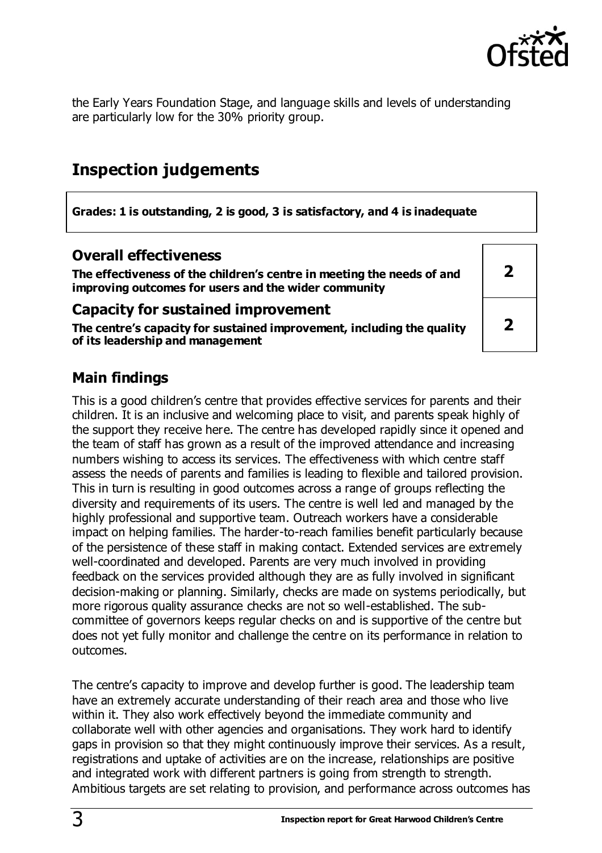

**2**

**2**

the Early Years Foundation Stage, and language skills and levels of understanding are particularly low for the 30% priority group.

## **Inspection judgements**

**Grades: 1 is outstanding, 2 is good, 3 is satisfactory, and 4 is inadequate**

### **Overall effectiveness**

**The effectiveness of the children's centre in meeting the needs of and improving outcomes for users and the wider community**

#### **Capacity for sustained improvement**

**The centre's capacity for sustained improvement, including the quality of its leadership and management**

## **Main findings**

This is a good children's centre that provides effective services for parents and their children. It is an inclusive and welcoming place to visit, and parents speak highly of the support they receive here. The centre has developed rapidly since it opened and the team of staff has grown as a result of the improved attendance and increasing numbers wishing to access its services. The effectiveness with which centre staff assess the needs of parents and families is leading to flexible and tailored provision. This in turn is resulting in good outcomes across a range of groups reflecting the diversity and requirements of its users. The centre is well led and managed by the highly professional and supportive team. Outreach workers have a considerable impact on helping families. The harder-to-reach families benefit particularly because of the persistence of these staff in making contact. Extended services are extremely well-coordinated and developed. Parents are very much involved in providing feedback on the services provided although they are as fully involved in significant decision-making or planning. Similarly, checks are made on systems periodically, but more rigorous quality assurance checks are not so well-established. The subcommittee of governors keeps regular checks on and is supportive of the centre but does not yet fully monitor and challenge the centre on its performance in relation to outcomes.

The centre's capacity to improve and develop further is good. The leadership team have an extremely accurate understanding of their reach area and those who live within it. They also work effectively beyond the immediate community and collaborate well with other agencies and organisations. They work hard to identify gaps in provision so that they might continuously improve their services. As a result, registrations and uptake of activities are on the increase, relationships are positive and integrated work with different partners is going from strength to strength. Ambitious targets are set relating to provision, and performance across outcomes has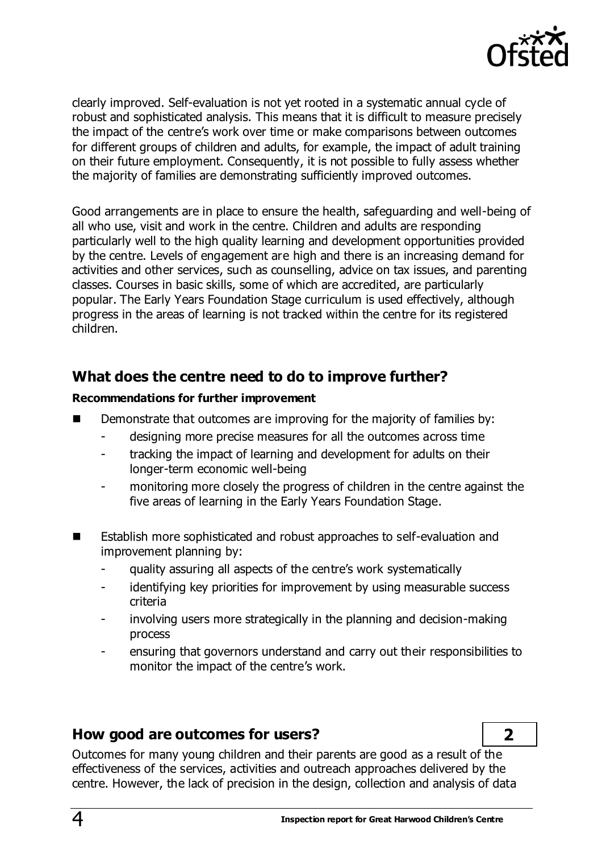

clearly improved. Self-evaluation is not yet rooted in a systematic annual cycle of robust and sophisticated analysis. This means that it is difficult to measure precisely the impact of the centre's work over time or make comparisons between outcomes for different groups of children and adults, for example, the impact of adult training on their future employment. Consequently, it is not possible to fully assess whether the majority of families are demonstrating sufficiently improved outcomes.

Good arrangements are in place to ensure the health, safeguarding and well-being of all who use, visit and work in the centre. Children and adults are responding particularly well to the high quality learning and development opportunities provided by the centre. Levels of engagement are high and there is an increasing demand for activities and other services, such as counselling, advice on tax issues, and parenting classes. Courses in basic skills, some of which are accredited, are particularly popular. The Early Years Foundation Stage curriculum is used effectively, although progress in the areas of learning is not tracked within the centre for its registered children.

### **What does the centre need to do to improve further?**

#### **Recommendations for further improvement**

- Demonstrate that outcomes are improving for the majority of families by:
	- designing more precise measures for all the outcomes across time
	- tracking the impact of learning and development for adults on their longer-term economic well-being
	- monitoring more closely the progress of children in the centre against the five areas of learning in the Early Years Foundation Stage.
- Establish more sophisticated and robust approaches to self-evaluation and improvement planning by:
	- quality assuring all aspects of the centre's work systematically
	- identifying key priorities for improvement by using measurable success criteria
	- involving users more strategically in the planning and decision-making process
	- ensuring that governors understand and carry out their responsibilities to monitor the impact of the centre's work.

#### **How good are outcomes for users? 2**

Outcomes for many young children and their parents are good as a result of the effectiveness of the services, activities and outreach approaches delivered by the centre. However, the lack of precision in the design, collection and analysis of data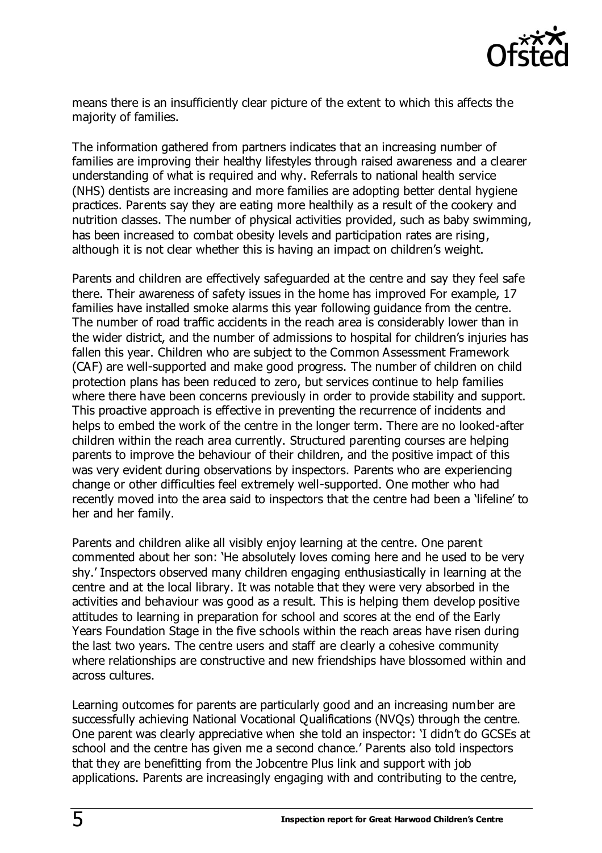

means there is an insufficiently clear picture of the extent to which this affects the majority of families.

The information gathered from partners indicates that an increasing number of families are improving their healthy lifestyles through raised awareness and a clearer understanding of what is required and why. Referrals to national health service (NHS) dentists are increasing and more families are adopting better dental hygiene practices. Parents say they are eating more healthily as a result of the cookery and nutrition classes. The number of physical activities provided, such as baby swimming, has been increased to combat obesity levels and participation rates are rising, although it is not clear whether this is having an impact on children's weight.

Parents and children are effectively safeguarded at the centre and say they feel safe there. Their awareness of safety issues in the home has improved For example, 17 families have installed smoke alarms this year following guidance from the centre. The number of road traffic accidents in the reach area is considerably lower than in the wider district, and the number of admissions to hospital for children's injuries has fallen this year. Children who are subject to the Common Assessment Framework (CAF) are well-supported and make good progress. The number of children on child protection plans has been reduced to zero, but services continue to help families where there have been concerns previously in order to provide stability and support. This proactive approach is effective in preventing the recurrence of incidents and helps to embed the work of the centre in the longer term. There are no looked-after children within the reach area currently. Structured parenting courses are helping parents to improve the behaviour of their children, and the positive impact of this was very evident during observations by inspectors. Parents who are experiencing change or other difficulties feel extremely well-supported. One mother who had recently moved into the area said to inspectors that the centre had been a 'lifeline' to her and her family.

Parents and children alike all visibly enjoy learning at the centre. One parent commented about her son: 'He absolutely loves coming here and he used to be very shy.' Inspectors observed many children engaging enthusiastically in learning at the centre and at the local library. It was notable that they were very absorbed in the activities and behaviour was good as a result. This is helping them develop positive attitudes to learning in preparation for school and scores at the end of the Early Years Foundation Stage in the five schools within the reach areas have risen during the last two years. The centre users and staff are clearly a cohesive community where relationships are constructive and new friendships have blossomed within and across cultures.

Learning outcomes for parents are particularly good and an increasing number are successfully achieving National Vocational Qualifications (NVQs) through the centre. One parent was clearly appreciative when she told an inspector: 'I didn't do GCSEs at school and the centre has given me a second chance.' Parents also told inspectors that they are benefitting from the Jobcentre Plus link and support with job applications. Parents are increasingly engaging with and contributing to the centre,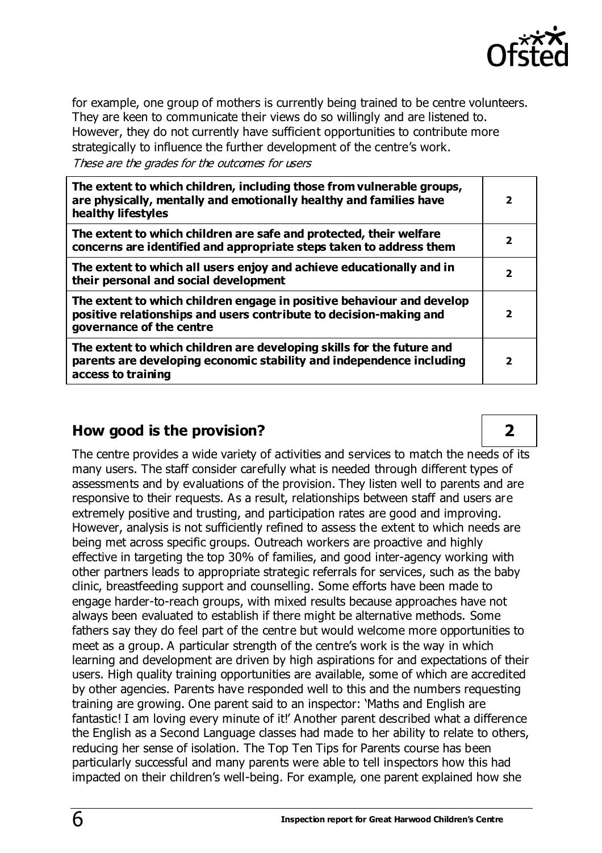

for example, one group of mothers is currently being trained to be centre volunteers. They are keen to communicate their views do so willingly and are listened to. However, they do not currently have sufficient opportunities to contribute more strategically to influence the further development of the centre's work.

These are the grades for the outcomes for users

| The extent to which children, including those from vulnerable groups,<br>are physically, mentally and emotionally healthy and families have<br>healthy lifestyles       | $\overline{\mathbf{2}}$ |
|-------------------------------------------------------------------------------------------------------------------------------------------------------------------------|-------------------------|
| The extent to which children are safe and protected, their welfare<br>concerns are identified and appropriate steps taken to address them                               | $\overline{\mathbf{2}}$ |
| The extent to which all users enjoy and achieve educationally and in<br>their personal and social development                                                           | 2                       |
| The extent to which children engage in positive behaviour and develop<br>positive relationships and users contribute to decision-making and<br>governance of the centre | $\overline{\mathbf{2}}$ |
| The extent to which children are developing skills for the future and<br>parents are developing economic stability and independence including<br>access to training     | $\overline{\mathbf{2}}$ |

## **How good is the provision? 2**

The centre provides a wide variety of activities and services to match the needs of its many users. The staff consider carefully what is needed through different types of assessments and by evaluations of the provision. They listen well to parents and are responsive to their requests. As a result, relationships between staff and users are extremely positive and trusting, and participation rates are good and improving. However, analysis is not sufficiently refined to assess the extent to which needs are being met across specific groups. Outreach workers are proactive and highly effective in targeting the top 30% of families, and good inter-agency working with other partners leads to appropriate strategic referrals for services, such as the baby clinic, breastfeeding support and counselling. Some efforts have been made to engage harder-to-reach groups, with mixed results because approaches have not always been evaluated to establish if there might be alternative methods. Some fathers say they do feel part of the centre but would welcome more opportunities to meet as a group. A particular strength of the centre's work is the way in which learning and development are driven by high aspirations for and expectations of their users. High quality training opportunities are available, some of which are accredited by other agencies. Parents have responded well to this and the numbers requesting training are growing. One parent said to an inspector: 'Maths and English are fantastic! I am loving every minute of it!' Another parent described what a difference the English as a Second Language classes had made to her ability to relate to others, reducing her sense of isolation. The Top Ten Tips for Parents course has been particularly successful and many parents were able to tell inspectors how this had impacted on their children's well-being. For example, one parent explained how she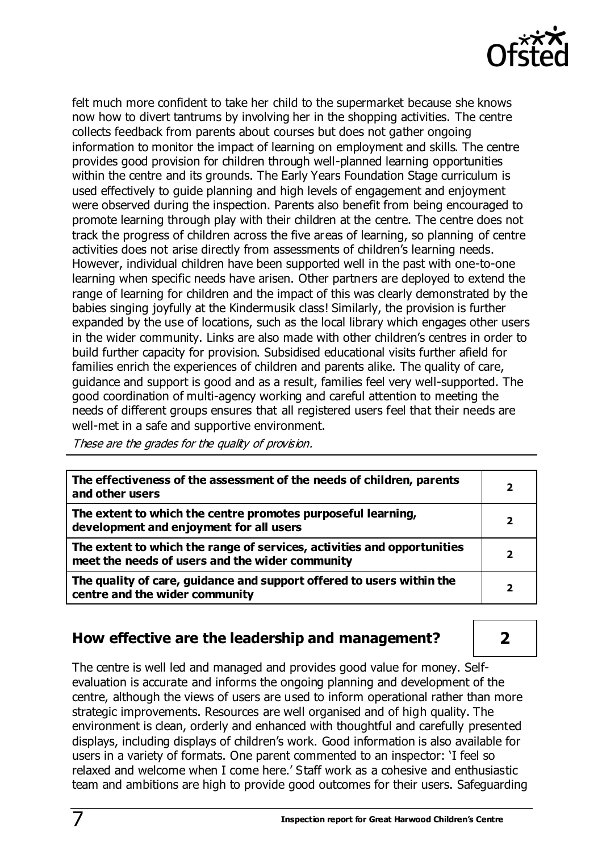

felt much more confident to take her child to the supermarket because she knows now how to divert tantrums by involving her in the shopping activities. The centre collects feedback from parents about courses but does not gather ongoing information to monitor the impact of learning on employment and skills. The centre provides good provision for children through well-planned learning opportunities within the centre and its grounds. The Early Years Foundation Stage curriculum is used effectively to guide planning and high levels of engagement and enjoyment were observed during the inspection. Parents also benefit from being encouraged to promote learning through play with their children at the centre. The centre does not track the progress of children across the five areas of learning, so planning of centre activities does not arise directly from assessments of children's learning needs. However, individual children have been supported well in the past with one-to-one learning when specific needs have arisen. Other partners are deployed to extend the range of learning for children and the impact of this was clearly demonstrated by the babies singing joyfully at the Kindermusik class! Similarly, the provision is further expanded by the use of locations, such as the local library which engages other users in the wider community. Links are also made with other children's centres in order to build further capacity for provision. Subsidised educational visits further afield for families enrich the experiences of children and parents alike. The quality of care, guidance and support is good and as a result, families feel very well-supported. The good coordination of multi-agency working and careful attention to meeting the needs of different groups ensures that all registered users feel that their needs are well-met in a safe and supportive environment.

These are the grades for the quality of provision.

| The effectiveness of the assessment of the needs of children, parents<br>and other users                                   | 2 |
|----------------------------------------------------------------------------------------------------------------------------|---|
| The extent to which the centre promotes purposeful learning,<br>development and enjoyment for all users                    | 2 |
| The extent to which the range of services, activities and opportunities<br>meet the needs of users and the wider community | 2 |
| The quality of care, guidance and support offered to users within the<br>centre and the wider community                    |   |

## **How effective are the leadership and management? 2**

The centre is well led and managed and provides good value for money. Selfevaluation is accurate and informs the ongoing planning and development of the centre, although the views of users are used to inform operational rather than more strategic improvements. Resources are well organised and of high quality. The environment is clean, orderly and enhanced with thoughtful and carefully presented displays, including displays of children's work. Good information is also available for users in a variety of formats. One parent commented to an inspector: 'I feel so relaxed and welcome when I come here.' Staff work as a cohesive and enthusiastic team and ambitions are high to provide good outcomes for their users. Safeguarding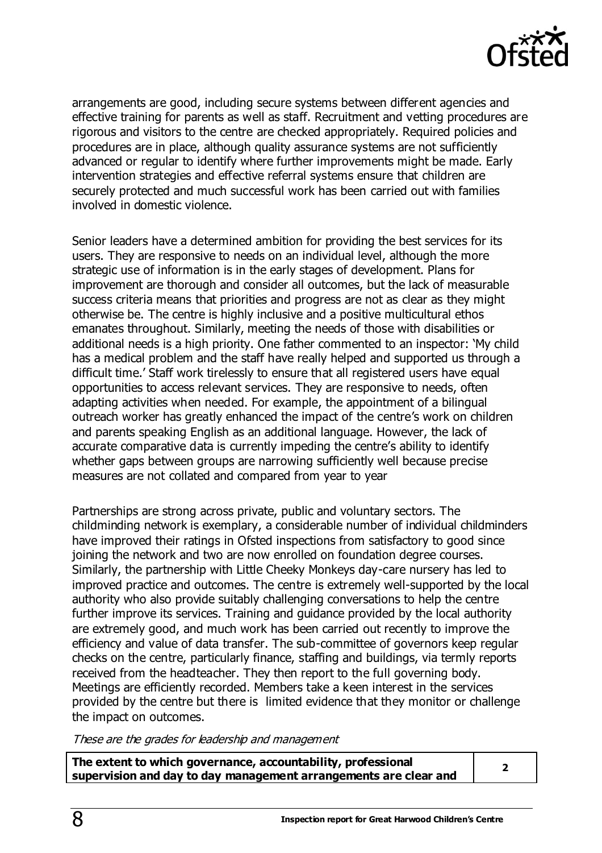

arrangements are good, including secure systems between different agencies and effective training for parents as well as staff. Recruitment and vetting procedures are rigorous and visitors to the centre are checked appropriately. Required policies and procedures are in place, although quality assurance systems are not sufficiently advanced or regular to identify where further improvements might be made. Early intervention strategies and effective referral systems ensure that children are securely protected and much successful work has been carried out with families involved in domestic violence.

Senior leaders have a determined ambition for providing the best services for its users. They are responsive to needs on an individual level, although the more strategic use of information is in the early stages of development. Plans for improvement are thorough and consider all outcomes, but the lack of measurable success criteria means that priorities and progress are not as clear as they might otherwise be. The centre is highly inclusive and a positive multicultural ethos emanates throughout. Similarly, meeting the needs of those with disabilities or additional needs is a high priority. One father commented to an inspector: 'My child has a medical problem and the staff have really helped and supported us through a difficult time.' Staff work tirelessly to ensure that all registered users have equal opportunities to access relevant services. They are responsive to needs, often adapting activities when needed. For example, the appointment of a bilingual outreach worker has greatly enhanced the impact of the centre's work on children and parents speaking English as an additional language. However, the lack of accurate comparative data is currently impeding the centre's ability to identify whether gaps between groups are narrowing sufficiently well because precise measures are not collated and compared from year to year

Partnerships are strong across private, public and voluntary sectors. The childminding network is exemplary, a considerable number of individual childminders have improved their ratings in Ofsted inspections from satisfactory to good since joining the network and two are now enrolled on foundation degree courses. Similarly, the partnership with Little Cheeky Monkeys day-care nursery has led to improved practice and outcomes. The centre is extremely well-supported by the local authority who also provide suitably challenging conversations to help the centre further improve its services. Training and guidance provided by the local authority are extremely good, and much work has been carried out recently to improve the efficiency and value of data transfer. The sub-committee of governors keep regular checks on the centre, particularly finance, staffing and buildings, via termly reports received from the headteacher. They then report to the full governing body. Meetings are efficiently recorded. Members take a keen interest in the services provided by the centre but there is limited evidence that they monitor or challenge the impact on outcomes.

These are the grades for leadership and management

**The extent to which governance, accountability, professional supervision and day to day management arrangements are clear and <sup>2</sup>**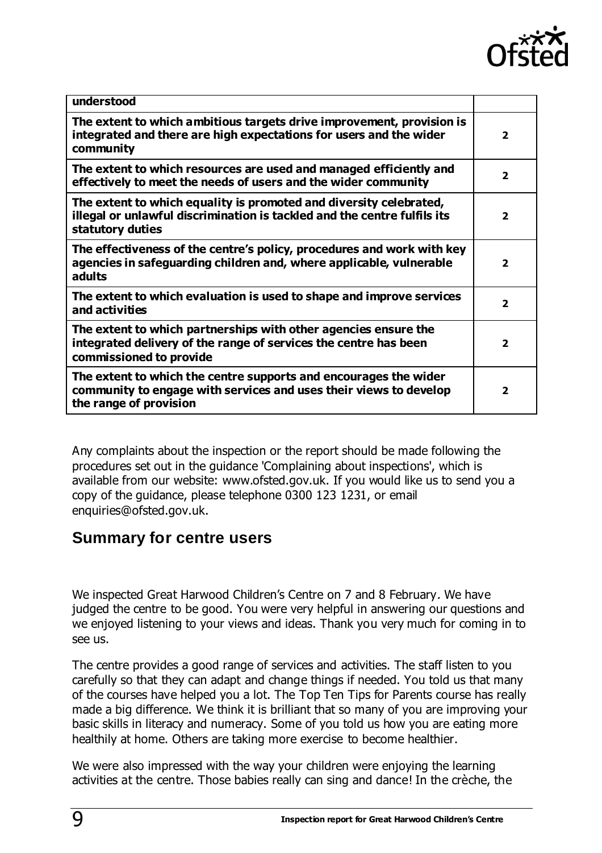

| understood                                                                                                                                                         |                          |
|--------------------------------------------------------------------------------------------------------------------------------------------------------------------|--------------------------|
| The extent to which ambitious targets drive improvement, provision is<br>integrated and there are high expectations for users and the wider<br>community           | $\overline{\phantom{a}}$ |
| The extent to which resources are used and managed efficiently and<br>effectively to meet the needs of users and the wider community                               | $\mathbf{z}$             |
| The extent to which equality is promoted and diversity celebrated,<br>illegal or unlawful discrimination is tackled and the centre fulfils its<br>statutory duties | $\overline{\phantom{a}}$ |
| The effectiveness of the centre's policy, procedures and work with key<br>agencies in safeguarding children and, where applicable, vulnerable<br>adults            | $\overline{\phantom{a}}$ |
| The extent to which evaluation is used to shape and improve services<br>and activities                                                                             | $\overline{2}$           |
| The extent to which partnerships with other agencies ensure the<br>integrated delivery of the range of services the centre has been<br>commissioned to provide     | $\overline{2}$           |
| The extent to which the centre supports and encourages the wider<br>community to engage with services and uses their views to develop<br>the range of provision    | $\mathbf{2}$             |

Any complaints about the inspection or the report should be made following the procedures set out in the guidance 'Complaining about inspections', which is available from our website: [www.ofsted.gov.uk.](http://www.ofsted.gov.uk/) If you would like us to send you a copy of the guidance, please telephone 0300 123 1231, or email [enquiries@ofsted.gov.uk.](mailto:enquiries@ofsted.gov.uk)

## **Summary for centre users**

We inspected Great Harwood Children's Centre on 7 and 8 February. We have judged the centre to be good. You were very helpful in answering our questions and we enjoyed listening to your views and ideas. Thank you very much for coming in to see us.

The centre provides a good range of services and activities. The staff listen to you carefully so that they can adapt and change things if needed. You told us that many of the courses have helped you a lot. The Top Ten Tips for Parents course has really made a big difference. We think it is brilliant that so many of you are improving your basic skills in literacy and numeracy. Some of you told us how you are eating more healthily at home. Others are taking more exercise to become healthier.

We were also impressed with the way your children were enjoying the learning activities at the centre. Those babies really can sing and dance! In the crèche, the